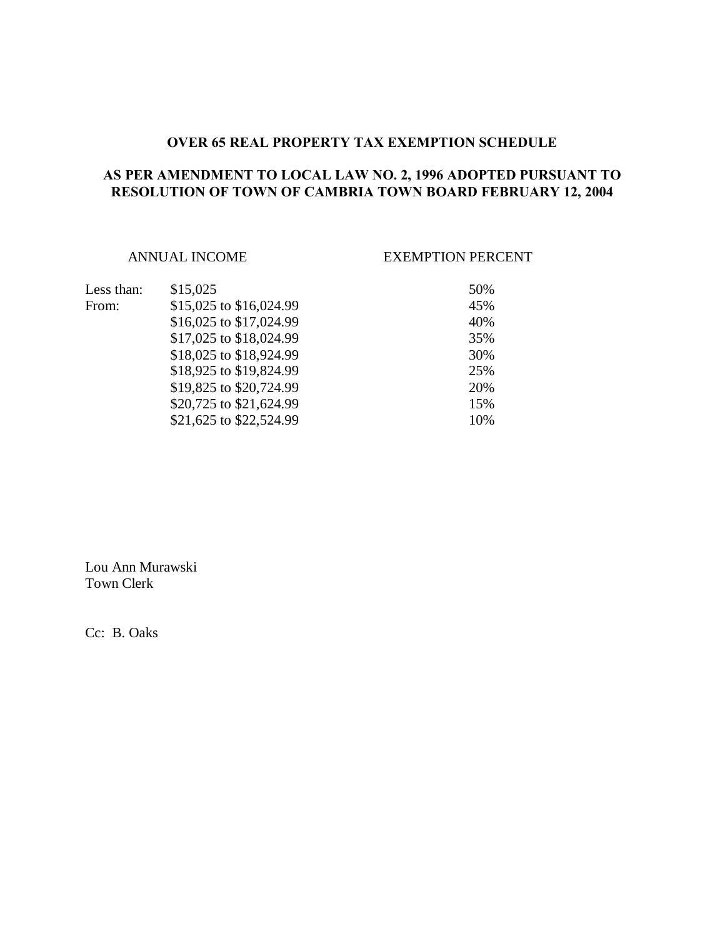### **OVER 65 REAL PROPERTY TAX EXEMPTION SCHEDULE**

# **AS PER AMENDMENT TO LOCAL LAW NO. 2, 1996 ADOPTED PURSUANT TO RESOLUTION OF TOWN OF CAMBRIA TOWN BOARD FEBRUARY 12, 2004**

## ANNUAL INCOME EXEMPTION PERCENT

| Less than: | \$15,025                | 50% |
|------------|-------------------------|-----|
| From:      | \$15,025 to \$16,024.99 | 45% |
|            | \$16,025 to \$17,024.99 | 40% |
|            | \$17,025 to \$18,024.99 | 35% |
|            | \$18,025 to \$18,924.99 | 30% |
|            | \$18,925 to \$19,824.99 | 25% |
|            | \$19,825 to \$20,724.99 | 20% |
|            | \$20,725 to \$21,624.99 | 15% |
|            | \$21,625 to \$22,524.99 | 10% |

Lou Ann Murawski Town Clerk

Cc: B. Oaks